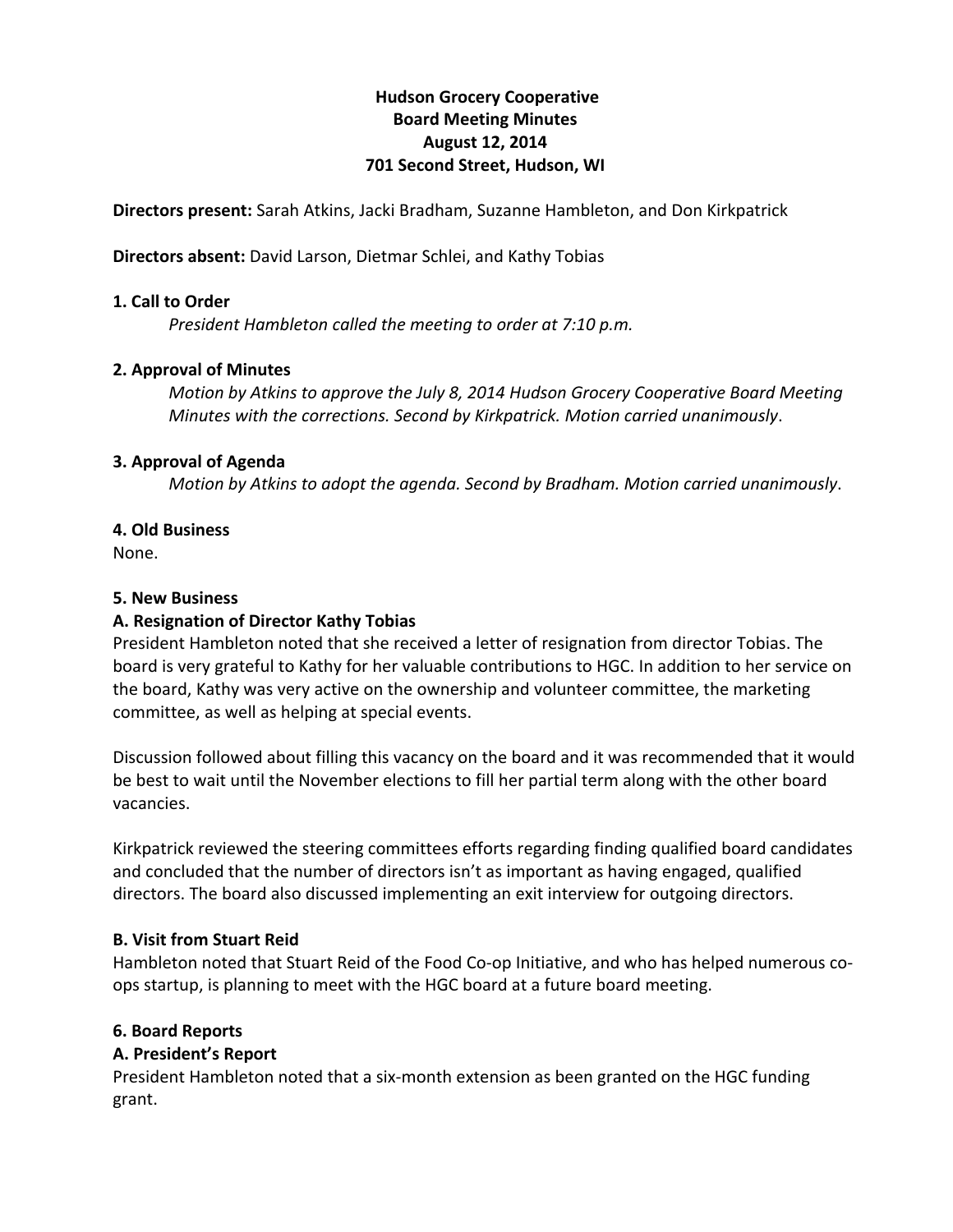# **Hudson!Grocery!Cooperative Board!Meeting!Minutes August!12,!2014 701 Second Street, Hudson, WI**

**Directors present:** Sarah Atkins, Jacki Bradham, Suzanne Hambleton, and Don Kirkpatrick

**Directors absent:** David Larson, Dietmar Schlei, and Kathy Tobias

#### **1. Call to Order**

*President Hambleton called the meeting to order at 7:10 p.m.* 

### **2. Approval of Minutes**

*Motion by Atkins to approve the July 8, 2014 Hudson Grocery Cooperative Board Meeting Minutes* with the corrections. Second by *Kirkpatrick. Motion carried unanimously*.

#### **3. Approval of Agenda**

*Motion)by)Atkins to)adopt)the)agenda.)Second)by)Bradham.)Motion)carried)unanimously*.

### **4. Old!Business**

None.

#### **5. New Business**

# **A. Resignation of Director Kathy Tobias**

President Hambleton noted that she received a letter of resignation from director Tobias. The board is very grateful to Kathy for her valuable contributions to HGC. In addition to her service on the board, Kathy was very active on the ownership and volunteer committee, the marketing committee, as well as helping at special events.

Discussion followed about filling this vacancy on the board and it was recommended that it would be best to wait until the November elections to fill her partial term along with the other board vacancies.

Kirkpatrick reviewed the steering committees efforts regarding finding qualified board candidates and concluded that the number of directors isn't as important as having engaged, qualified directors. The board also discussed implementing an exit interview for outgoing directors.

#### **B. Visit from Stuart Reid**

Hambleton noted that Stuart Reid of the Food Co-op Initiative, and who has helped numerous coops startup, is planning to meet with the HGC board at a future board meeting.

#### **6.!Board!Reports**

# **A.!President's!Report**

President Hambleton noted that a six-month extension as been granted on the HGC funding grant.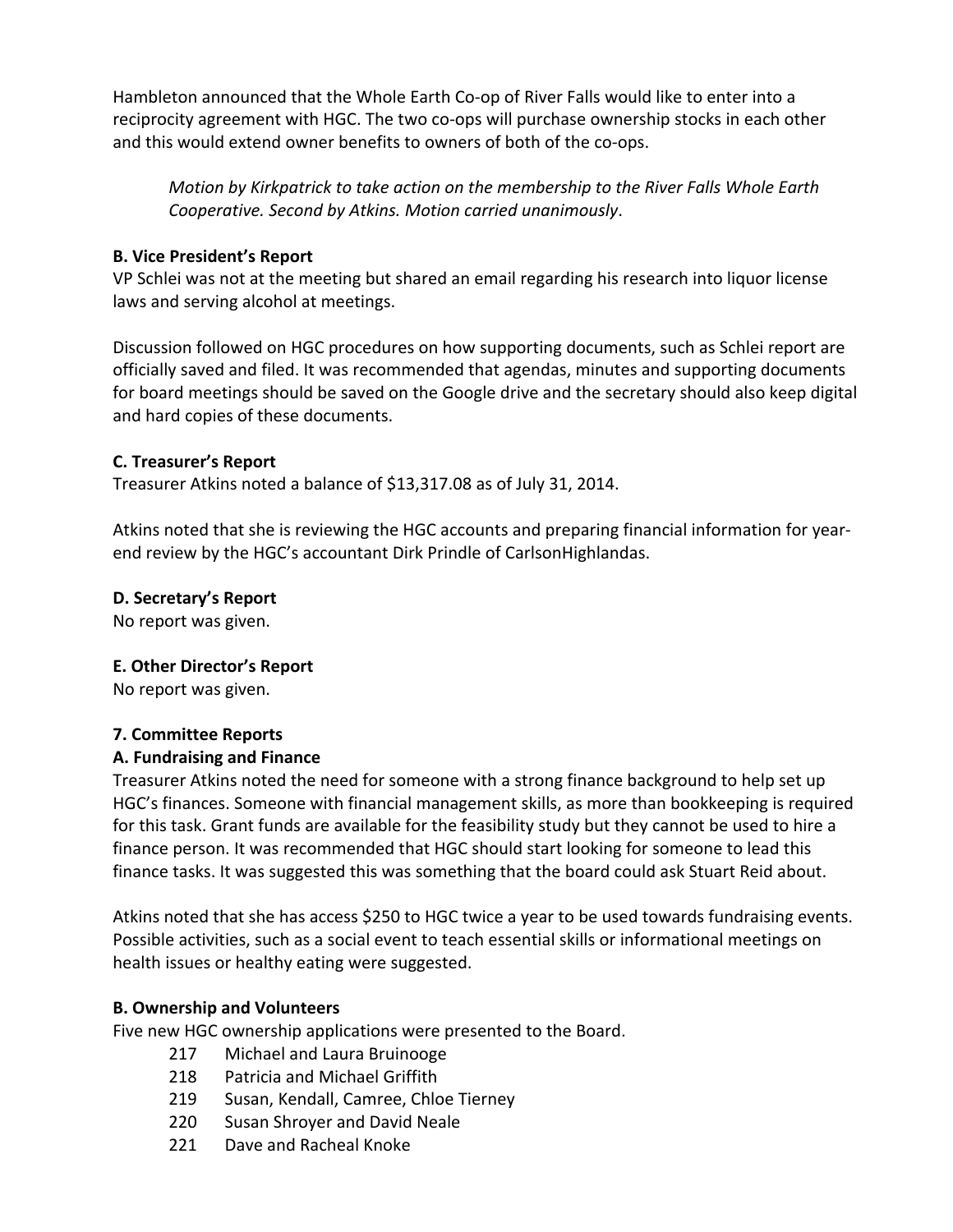Hambleton announced that the Whole Earth Co-op of River Falls would like to enter into a reciprocity agreement with HGC. The two co-ops will purchase ownership stocks in each other and this would extend owner benefits to owners of both of the co-ops.

*Motion by Kirkpatrick to take action on the membership to the River Falls Whole Earth Cooperative.)Second)by)Atkins.)Motion)carried)unanimously*.

## **B.!Vice!President's Report**

VP Schlei was not at the meeting but shared an email regarding his research into liquor license laws and serving alcohol at meetings.

Discussion followed on HGC procedures on how supporting documents, such as Schlei report are officially saved and filed. It was recommended that agendas, minutes and supporting documents for board meetings should be saved on the Google drive and the secretary should also keep digital and hard copies of these documents.

### **C.!Treasurer's!Report**

Treasurer Atkins noted a balance of \$13,317.08 as of July 31, 2014.

Atkins noted that she is reviewing the HGC accounts and preparing financial information for yearend review by the HGC's accountant Dirk Prindle of CarlsonHighlandas.

### **D.!Secretary's!Report**

No report was given.

#### **E. Other Director's Report**

No report was given.

#### **7.!Committee!Reports**

# **A.!Fundraising and!Finance!**

Treasurer Atkins noted the need for someone with a strong finance background to help set up HGC's finances. Someone with financial management skills, as more than bookkeeping is required for this task. Grant funds are available for the feasibility study but they cannot be used to hire a finance person. It was recommended that HGC should start looking for someone to lead this finance tasks. It was suggested this was something that the board could ask Stuart Reid about.

Atkins noted that she has access \$250 to HGC twice a year to be used towards fundraising events. Possible activities, such as a social event to teach essential skills or informational meetings on health issues or healthy eating were suggested.

#### **B.!Ownership and!Volunteers**

Five new HGC ownership applications were presented to the Board.

- 217 Michael and Laura Bruinooge
- 218 Patricia and Michael Griffith
- 219 Susan, Kendall, Camree, Chloe Tierney
- 220 Susan Shroyer and David Neale
- 221 Dave and Racheal Knoke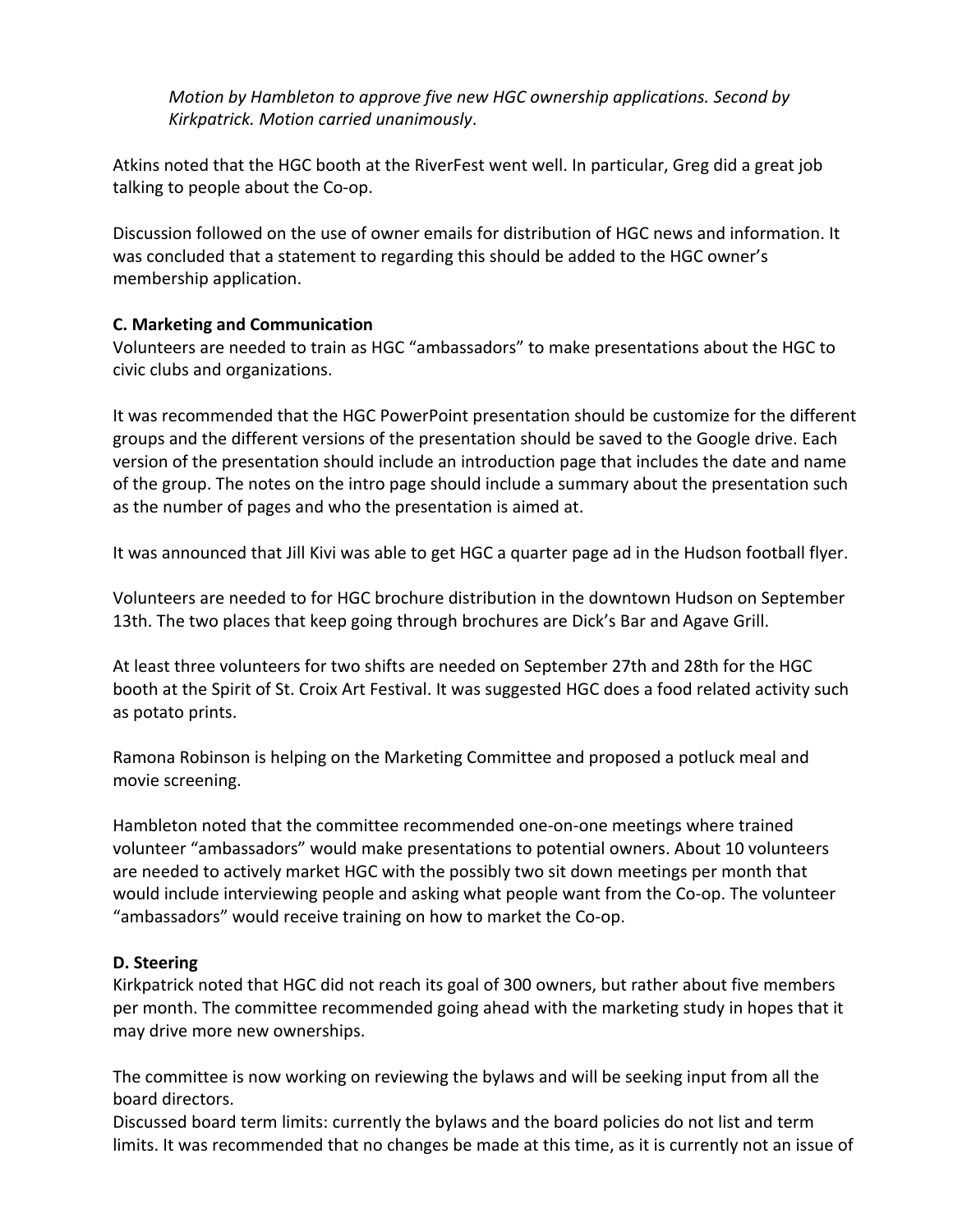*Motion by Hambleton to approve five new HGC ownership applications. Second by Kirkpatrick.)Motion)carried)unanimously*.

Atkins noted that the HGC booth at the RiverFest went well. In particular, Greg did a great job talking to people about the Co-op.

Discussion followed on the use of owner emails for distribution of HGC news and information. It was concluded that a statement to regarding this should be added to the HGC owner's membership application.

# **C.!Marketing!and!Communication**

Volunteers are needed to train as HGC "ambassadors" to make presentations about the HGC to civic clubs and organizations.

It was recommended that the HGC PowerPoint presentation should be customize for the different groups and the different versions of the presentation should be saved to the Google drive. Each version of the presentation should include an introduction page that includes the date and name of the group. The notes on the intro page should include a summary about the presentation such as the number of pages and who the presentation is aimed at.

It was announced that Jill Kivi was able to get HGC a quarter page ad in the Hudson football flyer.

Volunteers are needed to for HGC brochure distribution in the downtown Hudson on September 13th. The two places that keep going through brochures are Dick's Bar and Agave Grill.

At least three volunteers for two shifts are needed on September 27th and 28th for the HGC booth at the Spirit of St. Croix Art Festival. It was suggested HGC does a food related activity such as potato prints.

Ramona Robinson is helping on the Marketing Committee and proposed a potluck meal and movie screening.

Hambleton noted that the committee recommended one-on-one meetings where trained volunteer "ambassadors" would make presentations to potential owners. About 10 volunteers are needed to actively market HGC with the possibly two sit down meetings per month that would include interviewing people and asking what people want from the Co-op. The volunteer "ambassadors" would receive training on how to market the Co-op.

# **D.!Steering**

Kirkpatrick noted that HGC did not reach its goal of 300 owners, but rather about five members per month. The committee recommended going ahead with the marketing study in hopes that it may drive more new ownerships.

The committee is now working on reviewing the bylaws and will be seeking input from all the board directors.

Discussed board term limits: currently the bylaws and the board policies do not list and term limits. It was recommended that no changes be made at this time, as it is currently not an issue of